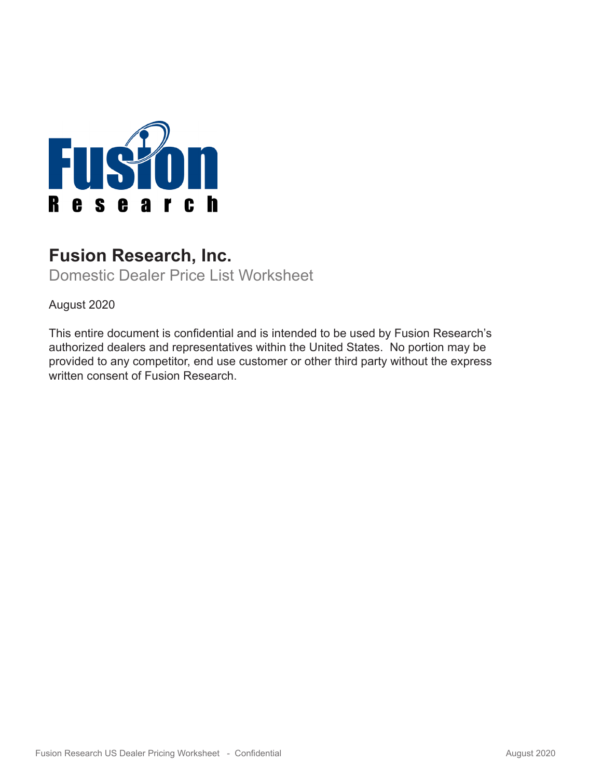

# **Fusion Research, Inc.**

Domestic Dealer Price List Worksheet

August 2020

This entire document is confidential and is intended to be used by Fusion Research's authorized dealers and representatives within the United States. No portion may be provided to any competitor, end use customer or other third party without the express written consent of Fusion Research.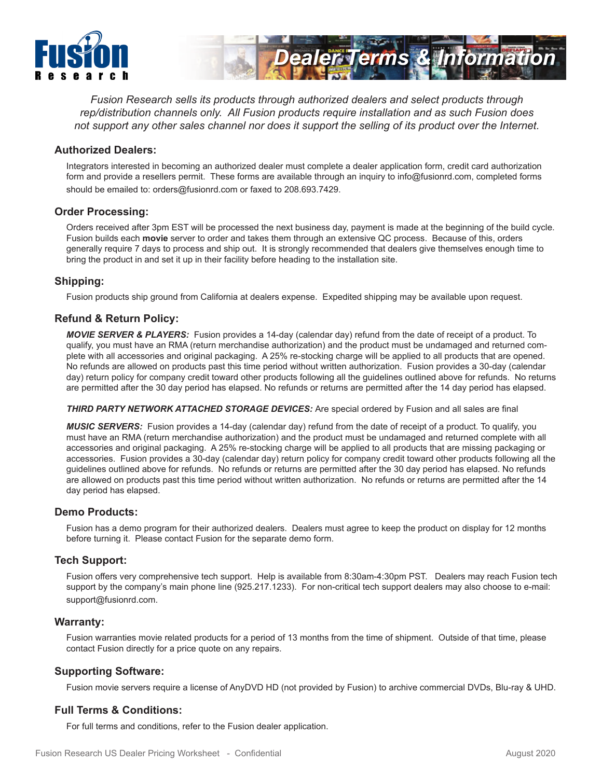



*Fusion Research sells its products through authorized dealers and select products through rep/distribution channels only. All Fusion products require installation and as such Fusion does not support any other sales channel nor does it support the selling of its product over the Internet.*

#### **Authorized Dealers:**

Integrators interested in becoming an authorized dealer must complete a dealer application form, credit card authorization form and provide a resellers permit. These forms are available through an inquiry to info@fusionrd.com, completed forms should be emailed to: orders@fusionrd.com or faxed to 208.693.7429.

#### **Order Processing:**

Orders received after 3pm EST will be processed the next business day, payment is made at the beginning of the build cycle. Fusion builds each **movie** server to order and takes them through an extensive QC process. Because of this, orders generally require 7 days to process and ship out. It is strongly recommended that dealers give themselves enough time to bring the product in and set it up in their facility before heading to the installation site.

#### **Shipping:**

Fusion products ship ground from California at dealers expense. Expedited shipping may be available upon request.

## **Refund & Return Policy:**

*MOVIE SERVER & PLAYERS:* Fusion provides a 14-day (calendar day) refund from the date of receipt of a product. To qualify, you must have an RMA (return merchandise authorization) and the product must be undamaged and returned complete with all accessories and original packaging. A 25% re-stocking charge will be applied to all products that are opened. No refunds are allowed on products past this time period without written authorization. Fusion provides a 30-day (calendar day) return policy for company credit toward other products following all the guidelines outlined above for refunds. No returns are permitted after the 30 day period has elapsed. No refunds or returns are permitted after the 14 day period has elapsed.

*THIRD PARTY NETWORK ATTACHED STORAGE DEVICES:* Are special ordered by Fusion and all sales are final

*MUSIC SERVERS:* Fusion provides a 14-day (calendar day) refund from the date of receipt of a product. To qualify, you must have an RMA (return merchandise authorization) and the product must be undamaged and returned complete with all accessories and original packaging. A 25% re-stocking charge will be applied to all products that are missing packaging or accessories. Fusion provides a 30-day (calendar day) return policy for company credit toward other products following all the guidelines outlined above for refunds. No refunds or returns are permitted after the 30 day period has elapsed. No refunds are allowed on products past this time period without written authorization. No refunds or returns are permitted after the 14 day period has elapsed.

#### **Demo Products:**

Fusion has a demo program for their authorized dealers. Dealers must agree to keep the product on display for 12 months before turning it. Please contact Fusion for the separate demo form.

#### **Tech Support:**

Fusion offers very comprehensive tech support. Help is available from 8:30am-4:30pm PST. Dealers may reach Fusion tech support by the company's main phone line (925.217.1233). For non-critical tech support dealers may also choose to e-mail: support@fusionrd.com.

#### **Warranty:**

Fusion warranties movie related products for a period of 13 months from the time of shipment. Outside of that time, please contact Fusion directly for a price quote on any repairs.

#### **Supporting Software:**

Fusion movie servers require a license of AnyDVD HD (not provided by Fusion) to archive commercial DVDs, Blu-ray & UHD.

## **Full Terms & Conditions:**

For full terms and conditions, refer to the Fusion dealer application.